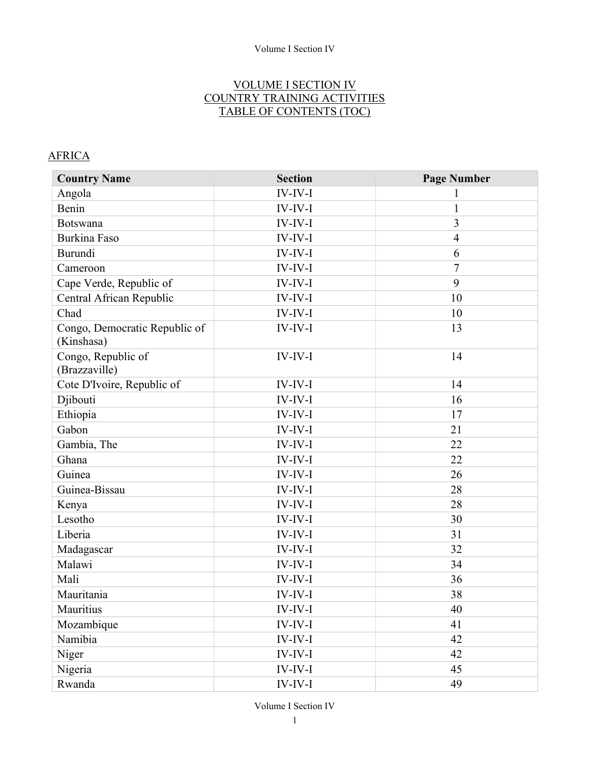#### VOLUME I SECTION IV COUNTRY TRAINING ACTIVITIES TABLE OF CONTENTS (TOC)

# **AFRICA**

| <b>Country Name</b>                         | <b>Section</b>    | <b>Page Number</b> |
|---------------------------------------------|-------------------|--------------------|
| Angola                                      | <b>IV-IV-I</b>    | $\mathbf 1$        |
| Benin                                       | $\text{IV-IV-I}$  | $\mathbf{1}$       |
| Botswana                                    | <b>IV-IV-I</b>    | 3                  |
| <b>Burkina Faso</b>                         | $IV$ - $IV$ - $I$ | $\overline{4}$     |
| Burundi                                     | <b>IV-IV-I</b>    | 6                  |
| Cameroon                                    | <b>IV-IV-I</b>    | $\overline{7}$     |
| Cape Verde, Republic of                     | $IV-IV-I$         | 9                  |
| Central African Republic                    | IV-IV-I           | 10                 |
| Chad                                        | <b>IV-IV-I</b>    | 10                 |
| Congo, Democratic Republic of<br>(Kinshasa) | <b>IV-IV-I</b>    | 13                 |
| Congo, Republic of<br>(Brazzaville)         | <b>IV-IV-I</b>    | 14                 |
| Cote D'Ivoire, Republic of                  | IV-IV-I           | 14                 |
| Djibouti                                    | <b>IV-IV-I</b>    | 16                 |
| Ethiopia                                    | <b>IV-IV-I</b>    | 17                 |
| Gabon                                       | <b>IV-IV-I</b>    | 21                 |
| Gambia, The                                 | <b>IV-IV-I</b>    | 22                 |
| Ghana                                       | <b>IV-IV-I</b>    | 22                 |
| Guinea                                      | $IV$ - $IV$ - $I$ | 26                 |
| Guinea-Bissau                               | <b>IV-IV-I</b>    | 28                 |
| Kenya                                       | <b>IV-IV-I</b>    | 28                 |
| Lesotho                                     | <b>IV-IV-I</b>    | 30                 |
| Liberia                                     | <b>IV-IV-I</b>    | 31                 |
| Madagascar                                  | <b>IV-IV-I</b>    | 32                 |
| Malawi                                      | <b>IV-IV-I</b>    | 34                 |
| Mali                                        | $IV-IV-I$         | 36                 |
| Mauritania                                  | <b>IV-IV-I</b>    | 38                 |
| Mauritius                                   | <b>IV-IV-I</b>    | 40                 |
| Mozambique                                  | $IV$ - $IV$ - $I$ | 41                 |
| Namibia                                     | IV-IV-I           | 42                 |
| Niger                                       | $IV$ - $IV$ - $I$ | 42                 |
| Nigeria                                     | $IV$ - $IV$ - $I$ | 45                 |
| Rwanda                                      | $IV$ - $IV$ - $I$ | 49                 |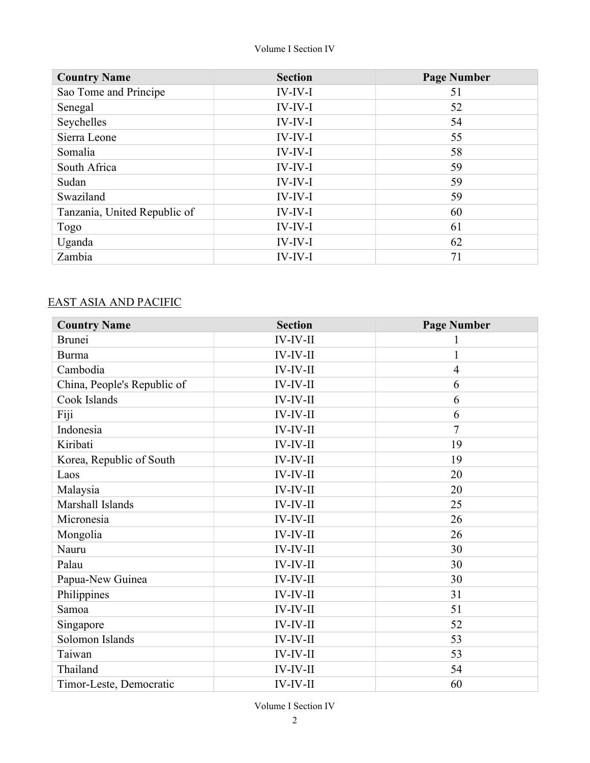| <b>Country Name</b>          | <b>Section</b>    | <b>Page Number</b> |
|------------------------------|-------------------|--------------------|
| Sao Tome and Principe        | <b>IV-IV-I</b>    | 51                 |
| Senegal                      | $IV$ - $IV$ - $I$ | 52                 |
| Seychelles                   | <b>IV-IV-I</b>    | 54                 |
| Sierra Leone                 | $IV$ - $IV$ - $I$ | 55                 |
| Somalia                      | $IV$ - $IV$ - $I$ | 58                 |
| South Africa                 | $IV$ - $IV$ - $I$ | 59                 |
| Sudan                        | $IV$ - $IV$ - $I$ | 59                 |
| Swaziland                    | $IV$ - $IV$ - $I$ | 59                 |
| Tanzania, United Republic of | $IV-IV-I$         | 60                 |
| Togo                         | $IV$ - $IV$ - $I$ | 61                 |
| Uganda                       | $IV$ - $IV$ - $I$ | 62                 |
| Zambia                       | <b>IV-IV-I</b>    | 71                 |

## EAST ASIA AND PACIFIC

| <b>Country Name</b>         | <b>Section</b>     | <b>Page Number</b> |
|-----------------------------|--------------------|--------------------|
| <b>Brunei</b>               | <b>IV-IV-II</b>    | 1                  |
| <b>Burma</b>                | $IV$ - $IV$ - $II$ | $\mathbf{1}$       |
| Cambodia                    | <b>IV-IV-II</b>    | $\overline{4}$     |
| China, People's Republic of | $IV$ - $IV$ - $II$ | 6                  |
| Cook Islands                | $IV$ - $IV$ - $II$ | 6                  |
| Fiji                        | $IV$ - $IV$ - $II$ | 6                  |
| Indonesia                   | $IV-IV-II$         | $\overline{7}$     |
| Kiribati                    | $IV$ - $IV$ - $II$ | 19                 |
| Korea, Republic of South    | $IV$ - $IV$ - $II$ | 19                 |
| Laos                        | $IV$ - $IV$ - $II$ | 20                 |
| Malaysia                    | <b>IV-IV-II</b>    | 20                 |
| Marshall Islands            | $IV$ - $IV$ - $II$ | 25                 |
| Micronesia                  | <b>IV-IV-II</b>    | 26                 |
| Mongolia                    | $IV$ - $IV$ - $II$ | 26                 |
| Nauru                       | $IV$ - $IV$ - $II$ | 30                 |
| Palau                       | $IV$ - $IV$ - $II$ | 30                 |
| Papua-New Guinea            | $IV$ - $IV$ - $II$ | 30                 |
| Philippines                 | <b>IV-IV-II</b>    | 31                 |
| Samoa                       | <b>IV-IV-II</b>    | 51                 |
| Singapore                   | <b>IV-IV-II</b>    | 52                 |
| Solomon Islands             | $IV-IV-II$         | 53                 |
| Taiwan                      | $IV$ - $IV$ - $II$ | 53                 |
| Thailand                    | <b>IV-IV-II</b>    | 54                 |
| Timor-Leste, Democratic     | <b>IV-IV-II</b>    | 60                 |

Volume I Section IV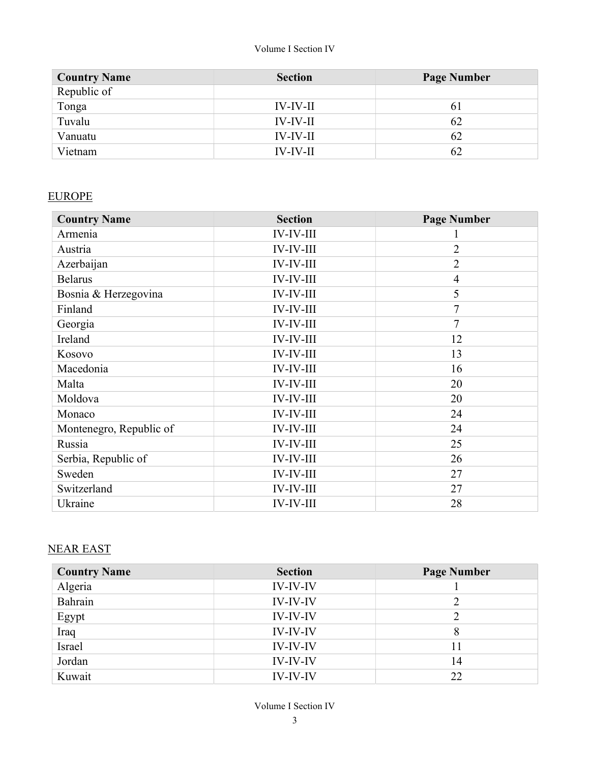| <b>Country Name</b> | <b>Section</b>  | <b>Page Number</b> |
|---------------------|-----------------|--------------------|
| Republic of         |                 |                    |
| Tonga               | IV-IV-II        | 61                 |
| Tuvalu              | <b>IV-IV-II</b> | 62                 |
| Vanuatu             | <b>IV-IV-II</b> | 62                 |
| Vietnam             | <b>IV-IV-II</b> | 62                 |

### EUROPE

| <b>Country Name</b>     | <b>Section</b>   | <b>Page Number</b> |
|-------------------------|------------------|--------------------|
| Armenia                 | <b>IV-IV-III</b> | 1                  |
| Austria                 | <b>IV-IV-III</b> | $\overline{2}$     |
| Azerbaijan              | <b>IV-IV-III</b> | $\overline{2}$     |
| <b>Belarus</b>          | <b>IV-IV-III</b> | $\overline{4}$     |
| Bosnia & Herzegovina    | <b>IV-IV-III</b> | 5                  |
| Finland                 | <b>IV-IV-III</b> | 7                  |
| Georgia                 | <b>IV-IV-III</b> | $\overline{7}$     |
| Ireland                 | <b>IV-IV-III</b> | 12                 |
| Kosovo                  | <b>IV-IV-III</b> | 13                 |
| Macedonia               | <b>IV-IV-III</b> | 16                 |
| Malta                   | <b>IV-IV-III</b> | 20                 |
| Moldova                 | <b>IV-IV-III</b> | 20                 |
| Monaco                  | <b>IV-IV-III</b> | 24                 |
| Montenegro, Republic of | <b>IV-IV-III</b> | 24                 |
| Russia                  | <b>IV-IV-III</b> | 25                 |
| Serbia, Republic of     | <b>IV-IV-III</b> | 26                 |
| Sweden                  | <b>IV-IV-III</b> | 27                 |
| Switzerland             | <b>IV-IV-III</b> | 27                 |
| Ukraine                 | <b>IV-IV-III</b> | 28                 |

# NEAR EAST

| <b>Country Name</b> | <b>Section</b>  | <b>Page Number</b> |
|---------------------|-----------------|--------------------|
| Algeria             | <b>IV-IV-IV</b> |                    |
| Bahrain             | <b>IV-IV-IV</b> |                    |
| Egypt               | <b>IV-IV-IV</b> | C                  |
| Iraq                | <b>IV-IV-IV</b> | 8                  |
| <b>Israel</b>       | <b>IV-IV-IV</b> | 11                 |
| Jordan              | <b>IV-IV-IV</b> | 14                 |
| Kuwait              | <b>IV-IV-IV</b> | 22                 |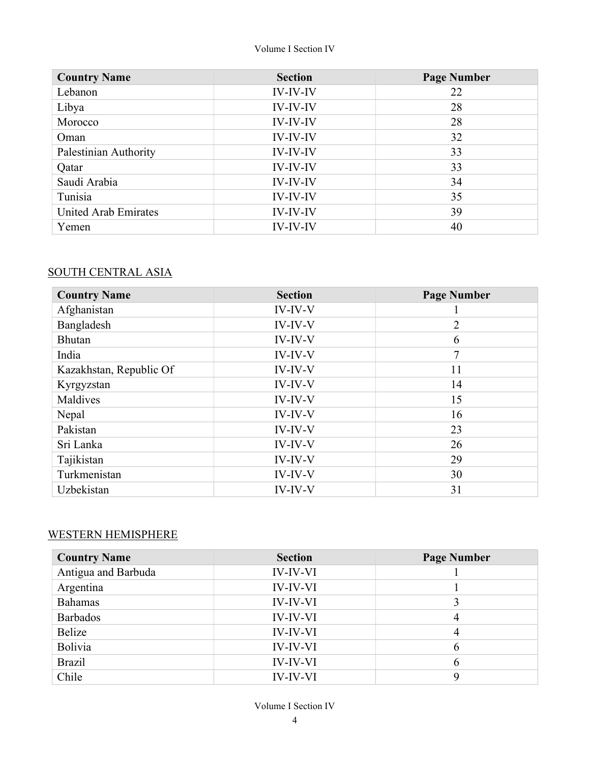| <b>Country Name</b>         | <b>Section</b>  | <b>Page Number</b> |
|-----------------------------|-----------------|--------------------|
| Lebanon                     | <b>IV-IV-IV</b> | 22                 |
| Libya                       | <b>IV-IV-IV</b> | 28                 |
| Morocco                     | <b>IV-IV-IV</b> | 28                 |
| Oman                        | <b>IV-IV-IV</b> | 32                 |
| Palestinian Authority       | <b>IV-IV-IV</b> | 33                 |
| Qatar                       | <b>IV-IV-IV</b> | 33                 |
| Saudi Arabia                | <b>IV-IV-IV</b> | 34                 |
| Tunisia                     | <b>IV-IV-IV</b> | 35                 |
| <b>United Arab Emirates</b> | <b>IV-IV-IV</b> | 39                 |
| Yemen                       | <b>IV-IV-IV</b> | 40                 |

# SOUTH CENTRAL ASIA

| <b>Country Name</b>     | <b>Section</b>    | <b>Page Number</b> |
|-------------------------|-------------------|--------------------|
| Afghanistan             | <b>IV-IV-V</b>    |                    |
| Bangladesh              | <b>IV-IV-V</b>    | 2                  |
| <b>Bhutan</b>           | <b>IV-IV-V</b>    | 6                  |
| India                   | <b>IV-IV-V</b>    | 7                  |
| Kazakhstan, Republic Of | <b>IV-IV-V</b>    | 11                 |
| Kyrgyzstan              | <b>IV-IV-V</b>    | 14                 |
| Maldives                | <b>IV-IV-V</b>    | 15                 |
| Nepal                   | $IV$ - $IV$ - $V$ | 16                 |
| Pakistan                | <b>IV-IV-V</b>    | 23                 |
| Sri Lanka               | <b>IV-IV-V</b>    | 26                 |
| Tajikistan              | $IV$ - $IV$ - $V$ | 29                 |
| Turkmenistan            | <b>IV-IV-V</b>    | 30                 |
| Uzbekistan              | $IV$ - $IV$ - $V$ | 31                 |

#### WESTERN HEMISPHERE

| <b>Country Name</b> | <b>Section</b>  | <b>Page Number</b> |
|---------------------|-----------------|--------------------|
| Antigua and Barbuda | <b>IV-IV-VI</b> |                    |
| Argentina           | <b>IV-IV-VI</b> |                    |
| <b>Bahamas</b>      | <b>IV-IV-VI</b> | 3                  |
| <b>Barbados</b>     | <b>IV-IV-VI</b> | 4                  |
| Belize              | <b>IV-IV-VI</b> | 4                  |
| Bolivia             | <b>IV-IV-VI</b> | 6                  |
| <b>Brazil</b>       | <b>IV-IV-VI</b> | 6                  |
| Chile               | <b>IV-IV-VI</b> | 9                  |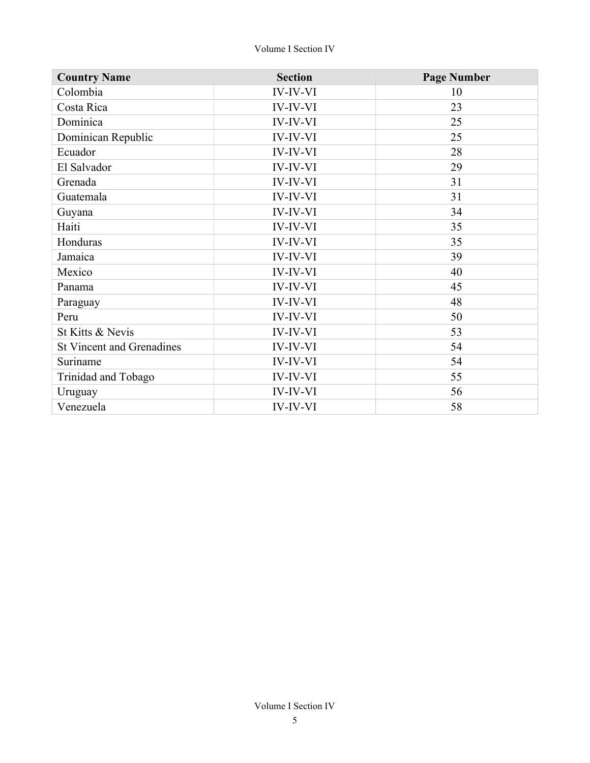| <b>Country Name</b>              | <b>Section</b>  | <b>Page Number</b> |
|----------------------------------|-----------------|--------------------|
| Colombia                         | <b>IV-IV-VI</b> | 10                 |
| Costa Rica                       | <b>IV-IV-VI</b> | 23                 |
| Dominica                         | <b>IV-IV-VI</b> | 25                 |
| Dominican Republic               | <b>IV-IV-VI</b> | 25                 |
| Ecuador                          | <b>IV-IV-VI</b> | 28                 |
| El Salvador                      | <b>IV-IV-VI</b> | 29                 |
| Grenada                          | <b>IV-IV-VI</b> | 31                 |
| Guatemala                        | <b>IV-IV-VI</b> | 31                 |
| Guyana                           | <b>IV-IV-VI</b> | 34                 |
| Haiti                            | <b>IV-IV-VI</b> | 35                 |
| Honduras                         | <b>IV-IV-VI</b> | 35                 |
| Jamaica                          | <b>IV-IV-VI</b> | 39                 |
| Mexico                           | <b>IV-IV-VI</b> | 40                 |
| Panama                           | <b>IV-IV-VI</b> | 45                 |
| Paraguay                         | <b>IV-IV-VI</b> | 48                 |
| Peru                             | <b>IV-IV-VI</b> | 50                 |
| St Kitts & Nevis                 | <b>IV-IV-VI</b> | 53                 |
| <b>St Vincent and Grenadines</b> | <b>IV-IV-VI</b> | 54                 |
| Suriname                         | <b>IV-IV-VI</b> | 54                 |
| Trinidad and Tobago              | <b>IV-IV-VI</b> | 55                 |
| Uruguay                          | <b>IV-IV-VI</b> | 56                 |
| Venezuela                        | <b>IV-IV-VI</b> | 58                 |